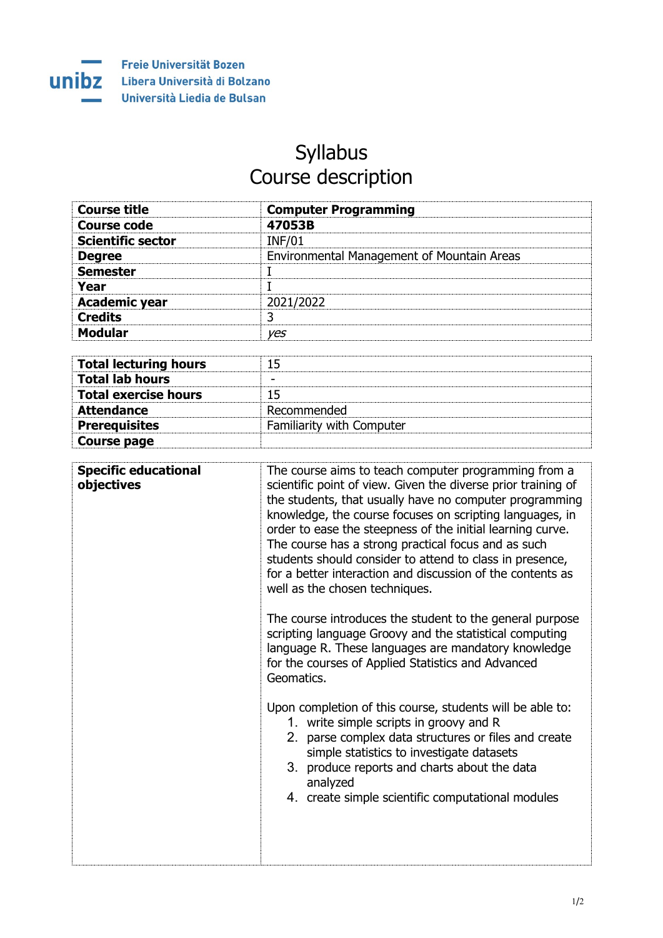

**Course page**

## Syllabus Course description

| <b>Course title</b>          | <b>Computer Programming</b>                |
|------------------------------|--------------------------------------------|
| <b>Course code</b>           | 47053B                                     |
| <b>Scientific sector</b>     | <b>INF/01</b>                              |
| <b>Degree</b>                | Environmental Management of Mountain Areas |
| <b>Semester</b>              |                                            |
| Year                         |                                            |
| <b>Academic year</b>         | 2021/2022                                  |
| <b>Credits</b>               | 3                                          |
| <b>Modular</b>               | yes                                        |
|                              |                                            |
| <b>Total lecturing hours</b> | 15                                         |
| <b>Total lab hours</b>       |                                            |
| <b>Total exercise hours</b>  | 15                                         |
| <b>Attendance</b>            | Recommended                                |
| <b>Prerequisites</b>         | Familiarity with Computer                  |

| <b>Specific educational</b><br>objectives | The course aims to teach computer programming from a<br>scientific point of view. Given the diverse prior training of<br>the students, that usually have no computer programming<br>knowledge, the course focuses on scripting languages, in<br>order to ease the steepness of the initial learning curve.<br>The course has a strong practical focus and as such<br>students should consider to attend to class in presence,<br>for a better interaction and discussion of the contents as<br>well as the chosen techniques. |
|-------------------------------------------|-------------------------------------------------------------------------------------------------------------------------------------------------------------------------------------------------------------------------------------------------------------------------------------------------------------------------------------------------------------------------------------------------------------------------------------------------------------------------------------------------------------------------------|
|                                           | The course introduces the student to the general purpose<br>scripting language Groovy and the statistical computing<br>language R. These languages are mandatory knowledge<br>for the courses of Applied Statistics and Advanced<br>Geomatics.                                                                                                                                                                                                                                                                                |
|                                           | Upon completion of this course, students will be able to:<br>1. write simple scripts in groovy and R<br>2. parse complex data structures or files and create<br>simple statistics to investigate datasets<br>3. produce reports and charts about the data<br>analyzed<br>4. create simple scientific computational modules                                                                                                                                                                                                    |